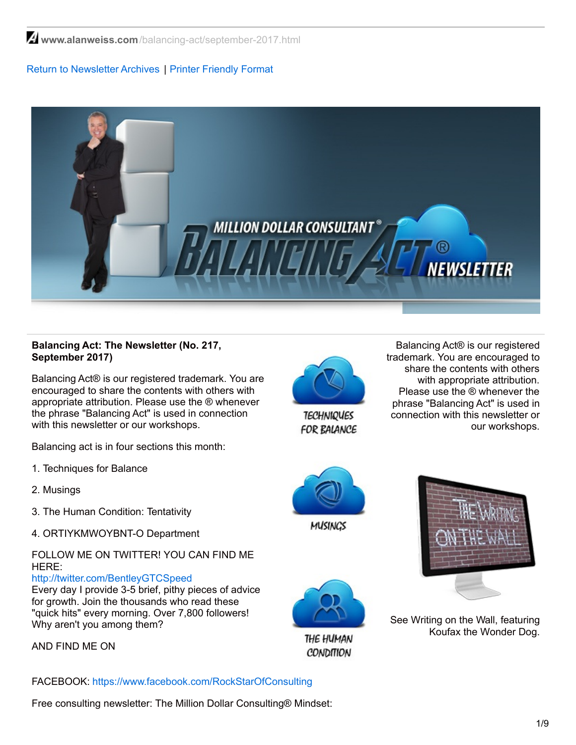**www.alanweiss.com**[/balancing-act/september-2017.html](https://www.alanweiss.com/balancing-act/september-2017.html)

## Return to [Newsletter](http://www.alanweiss.com/balancing-act-newsletter/) Archives | Printer [Friendly](http://www.alanweiss.com/balancing-act/august-2017.pdf) Format



## **Balancing Act: The Newsletter (No. 217, September 2017)**

Balancing Act® is our registered trademark. You are encouraged to share the contents with others with appropriate attribution. Please use the ® whenever the phrase "Balancing Act" is used in connection with this newsletter or our workshops.

Balancing act is in four sections this month:

- 1. Techniques for Balance
- 2. Musings
- 3. The Human Condition: Tentativity
- 4. ORTIYKMWOYBNT-O Department

## FOLLOW ME ON TWITTER! YOU CAN FIND ME HERE:

<http://twitter.com/BentleyGTCSpeed>

Every day I provide 3-5 brief, pithy pieces of advice for growth. Join the thousands who read these "quick hits" every morning. Over 7,800 followers! Why aren't you among them?

AND FIND ME ON

FACEBOOK: [https://www.facebook.com/RockStarOfConsulting](http://www.facebook.com/profile.php?id=788474935&ref=profile)

Free consulting newsletter: The Million Dollar Consulting® Mindset:



**TECHNIQUES FOR BALANCE** 

Balancing Act® is our registered trademark. You are encouraged to share the contents with others with appropriate attribution. Please use the ® whenever the phrase "Balancing Act" is used in connection with this newsletter or our workshops.







THE HUMAN **CONDITION** 

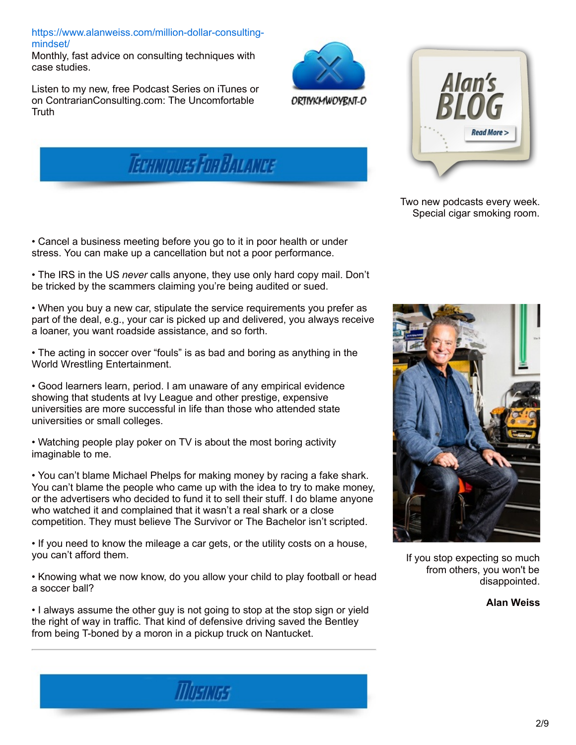[https://www.alanweiss.com/million-dollar-consulting](https://www.alanweiss.com/million-dollar-consulting-mindset/)mindset/

Monthly, fast advice on consulting techniques with case studies.

Listen to my new, free Podcast Series on iTunes or on ContrarianConsulting.com: The Uncomfortable **Truth** 





Two new podcasts every week. Special cigar smoking room.

• Cancel a business meeting before you go to it in poor health or under stress. You can make up a cancellation but not a poor performance.

• The IRS in the US *never* calls anyone, they use only hard copy mail. Don't be tricked by the scammers claiming you're being audited or sued.

**TECHNIQUES FOR BALANCE** 

• When you buy a new car, stipulate the service requirements you prefer as part of the deal, e.g., your car is picked up and delivered, you always receive a loaner, you want roadside assistance, and so forth.

• The acting in soccer over "fouls" is as bad and boring as anything in the World Wrestling Entertainment.

• Good learners learn, period. I am unaware of any empirical evidence showing that students at Ivy League and other prestige, expensive universities are more successful in life than those who attended state universities or small colleges.

• Watching people play poker on TV is about the most boring activity imaginable to me.

• You can't blame Michael Phelps for making money by racing a fake shark. You can't blame the people who came up with the idea to try to make money, or the advertisers who decided to fund it to sell their stuff. I do blame anyone who watched it and complained that it wasn't a real shark or a close competition. They must believe The Survivor or The Bachelor isn't scripted.

• If you need to know the mileage a car gets, or the utility costs on a house, you can't afford them.

• Knowing what we now know, do you allow your child to play football or head a soccer ball?

• I always assume the other guy is not going to stop at the stop sign or yield the right of way in traffic. That kind of defensive driving saved the Bentley from being T-boned by a moron in a pickup truck on Nantucket.

**MUSIKIES** 



If you stop expecting so much from others, you won't be disappointed.

**Alan Weiss**

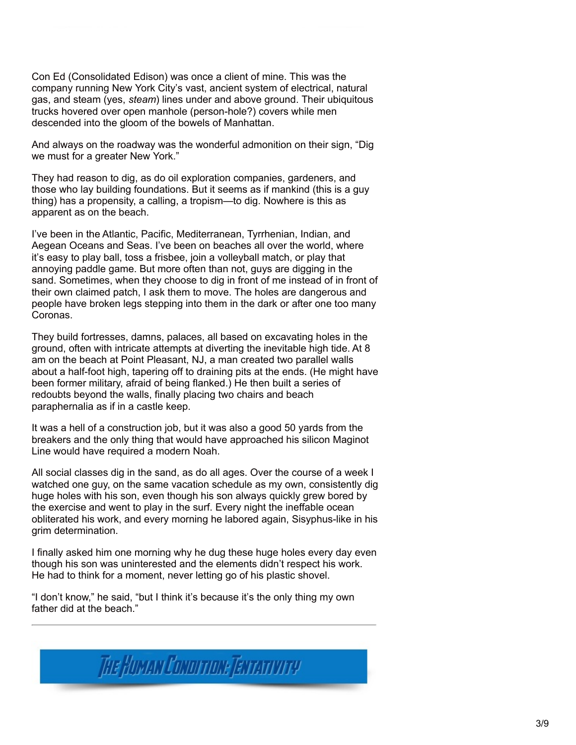Con Ed (Consolidated Edison) was once a client of mine. This was the company running New York City's vast, ancient system of electrical, natural gas, and steam (yes, *steam*) lines under and above ground. Their ubiquitous trucks hovered over open manhole (person-hole?) covers while men descended into the gloom of the bowels of Manhattan.

And always on the roadway was the wonderful admonition on their sign, "Dig we must for a greater New York."

They had reason to dig, as do oil exploration companies, gardeners, and those who lay building foundations. But it seems as if mankind (this is a guy thing) has a propensity, a calling, a tropism—to dig. Nowhere is this as apparent as on the beach.

I've been in the Atlantic, Pacific, Mediterranean, Tyrrhenian, Indian, and Aegean Oceans and Seas. I've been on beaches all over the world, where it's easy to play ball, toss a frisbee, join a volleyball match, or play that annoying paddle game. But more often than not, guys are digging in the sand. Sometimes, when they choose to dig in front of me instead of in front of their own claimed patch, I ask them to move. The holes are dangerous and people have broken legs stepping into them in the dark or after one too many Coronas.

They build fortresses, damns, palaces, all based on excavating holes in the ground, often with intricate attempts at diverting the inevitable high tide. At 8 am on the beach at Point Pleasant, NJ, a man created two parallel walls about a half-foot high, tapering off to draining pits at the ends. (He might have been former military, afraid of being flanked.) He then built a series of redoubts beyond the walls, finally placing two chairs and beach paraphernalia as if in a castle keep.

It was a hell of a construction job, but it was also a good 50 yards from the breakers and the only thing that would have approached his silicon Maginot Line would have required a modern Noah.

All social classes dig in the sand, as do all ages. Over the course of a week I watched one guy, on the same vacation schedule as my own, consistently dig huge holes with his son, even though his son always quickly grew bored by the exercise and went to play in the surf. Every night the ineffable ocean obliterated his work, and every morning he labored again, Sisyphus-like in his grim determination.

I finally asked him one morning why he dug these huge holes every day even though his son was uninterested and the elements didn't respect his work. He had to think for a moment, never letting go of his plastic shovel.

"I don't know," he said, "but I think it's because it's the only thing my own father did at the beach."

The Human Conorroue Temarrory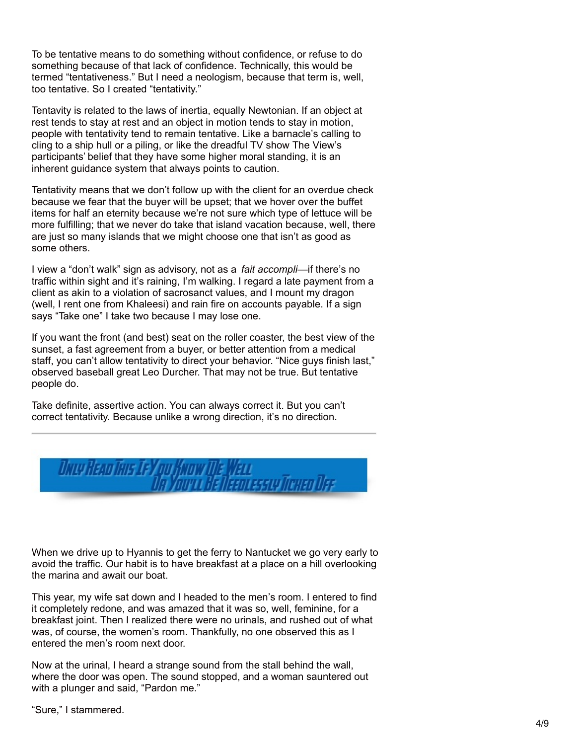To be tentative means to do something without confidence, or refuse to do something because of that lack of confidence. Technically, this would be termed "tentativeness." But I need a neologism, because that term is, well, too tentative. So I created "tentativity."

Tentavity is related to the laws of inertia, equally Newtonian. If an object at rest tends to stay at rest and an object in motion tends to stay in motion, people with tentativity tend to remain tentative. Like a barnacle's calling to cling to a ship hull or a piling, or like the dreadful TV show The View's participants' belief that they have some higher moral standing, it is an inherent guidance system that always points to caution.

Tentativity means that we don't follow up with the client for an overdue check because we fear that the buyer will be upset; that we hover over the buffet items for half an eternity because we're not sure which type of lettuce will be more fulfilling; that we never do take that island vacation because, well, there are just so many islands that we might choose one that isn't as good as some others.

I view a "don't walk" sign as advisory, not as a *fait accompli*—if there's no traffic within sight and it's raining, I'm walking. I regard a late payment from a client as akin to a violation of sacrosanct values, and I mount my dragon (well, I rent one from Khaleesi) and rain fire on accounts payable. If a sign says "Take one" I take two because I may lose one.

If you want the front (and best) seat on the roller coaster, the best view of the sunset, a fast agreement from a buyer, or better attention from a medical staff, you can't allow tentativity to direct your behavior. "Nice guys finish last," observed baseball great Leo Durcher. That may not be true. But tentative people do.

Take definite, assertive action. You can always correct it. But you can't correct tentativity. Because unlike a wrong direction, it's no direction.



When we drive up to Hyannis to get the ferry to Nantucket we go very early to avoid the traffic. Our habit is to have breakfast at a place on a hill overlooking the marina and await our boat.

This year, my wife sat down and I headed to the men's room. I entered to find it completely redone, and was amazed that it was so, well, feminine, for a breakfast joint. Then I realized there were no urinals, and rushed out of what was, of course, the women's room. Thankfully, no one observed this as I entered the men's room next door.

Now at the urinal, I heard a strange sound from the stall behind the wall, where the door was open. The sound stopped, and a woman sauntered out with a plunger and said, "Pardon me."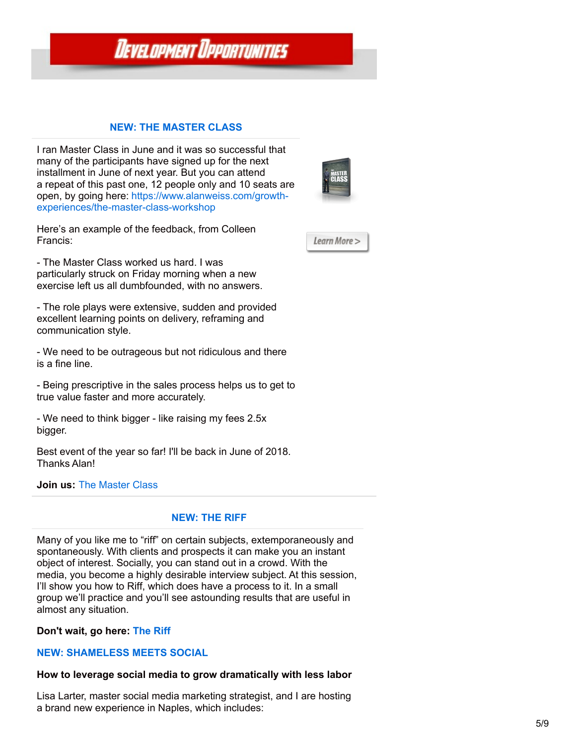# **DEVELOPMENT DPPORTUNITIES**

## **NEW: THE [MASTER](https://www.alanweiss.com/growth-experiences/the-master-class-workshop/) CLASS**

I ran Master Class in June and it was so successful that many of the participants have signed up for the next installment in June of next year. But you can attend a repeat of this past one, 12 people only and 10 seats are open, by going here: https://www.alanweiss.com/growth[experiences/the-master-class-workshop](https://www.alanweiss.com/growth-experiences/the-master-class-workshop)



Here's an example of the feedback, from Colleen Francis:

Learn More >

- The Master Class worked us hard. I was particularly struck on Friday morning when a new exercise left us all dumbfounded, with no answers.

- The role plays were extensive, sudden and provided excellent learning points on delivery, reframing and communication style.

- We need to be outrageous but not ridiculous and there is a fine line.

- Being prescriptive in the sales process helps us to get to true value faster and more accurately.

- We need to think bigger - like raising my fees 2.5x bigger.

Best event of the year so far! I'll be back in June of 2018. Thanks Alan!

#### **Join us:** The [Master](http://www.alanweiss.com/growth-experiences/the-master-class-workshop/) Class

#### **[NEW:](https://www.alanweiss.com/growth-experiences/the-riff/) THE RIFF**

Many of you like me to "riff" on certain subjects, extemporaneously and spontaneously. With clients and prospects it can make you an instant object of interest. Socially, you can stand out in a crowd. With the media, you become a highly desirable interview subject. At this session, I'll show you how to Riff, which does have a process to it. In a small group we'll practice and you'll see astounding results that are useful in almost any situation.

**Don't wait, go here: [The](http://www.alanweiss.com/growth-experiences/the-riff/) Riff**

#### **NEW: [SHAMELESS](https://www.alanweiss.com/growth-experiences/shameless-meets-social/) MEETS SOCIAL**

#### **How to leverage social media to grow dramatically with less labor**

Lisa Larter, master social media marketing strategist, and I are hosting a brand new experience in Naples, which includes: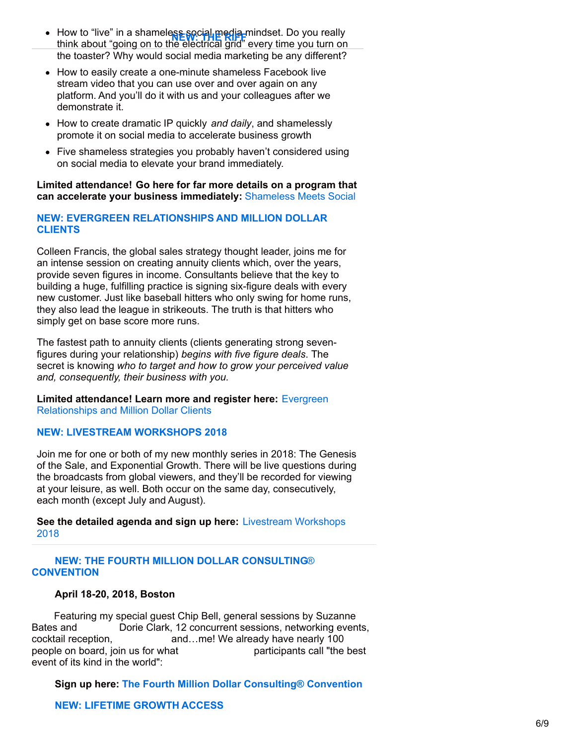- How to "live" in a shameless social media mindset. Do you really The think about "going on to the electrical grid" every time you teally<br>think about "going on to the electrical grid" every time you turn on the toaster? Why would social media marketing be any different?
- How to easily create a one-minute shameless Facebook live stream video that you can use over and over again on any platform. And you'll do it with us and your colleagues after we demonstrate it.
- How to create dramatic IP quickly *and daily*, and shamelessly promote it on social media to accelerate business growth
- Five shameless strategies you probably haven't considered using on social media to elevate your brand immediately.

## **Limited attendance! Go here for far more details on a program that can accelerate your business immediately:** [Shameless](https://www.alanweiss.com/growth-experiences/shameless-meets-social/) Meets Social

## **NEW: EVERGREEN [RELATIONSHIPS](https://www.alanweiss.com/growth-experiences/never-ending-value-evergreen-relationships-lifelong-business/) AND MILLION DOLLAR CLIENTS**

Colleen Francis, the global sales strategy thought leader, joins me for an intense session on creating annuity clients which, over the years, provide seven figures in income. Consultants believe that the key to building a huge, fulfilling practice is signing six-figure deals with every new customer. Just like baseball hitters who only swing for home runs, they also lead the league in strikeouts. The truth is that hitters who simply get on base score more runs.

The fastest path to annuity clients (clients generating strong sevenfigures during your relationship) *begins with five figure deals*. The secret is knowing *who to target and how to grow your perceived value and, consequently, their business with you.*

**Limited [attendance!](https://www.alanweiss.com/growth-experiences/never-ending-value-evergreen-relationships-lifelong-business/) Learn more and register here:** Evergreen Relationships and Million Dollar Clients

#### **NEW: LIVESTREAM [WORKSHOPS](https://www.alanweiss.com/growth-experiences/livestream-experiences-2018/) 2018**

Join me for one or both of my new monthly series in 2018: The Genesis of the Sale, and Exponential Growth. There will be live questions during the broadcasts from global viewers, and they'll be recorded for viewing at your leisure, as well. Both occur on the same day, consecutively, each month (except July and August).

**See the detailed agenda and sign up here:** [Livestream](https://www.alanweiss.com/growth-experiences/livestream-experiences-2018/) Workshops 2018

## **NEW: THE FOURTH MILLION DOLLAR [CONSULTING](https://www.alanweiss.com/growth-experiences/million-dollar-consulting-convention-2018/)**[®](https://www.alanweiss.com/growth-experiences/million-dollar-consulting-convention-2018/) **[CONVENTION](https://www.alanweiss.com/growth-experiences/million-dollar-consulting-convention-2018/)**

#### **April 18-20, 2018, Boston**

Featuring my special guest Chip Bell, general sessions by Suzanne Bates and Dorie Clark, 12 concurrent sessions, networking events, cocktail reception, and...me! We already have nearly 100 people on board, join us for what participants call "the best event of its kind in the world":

**Sign up here: The Fourth Million Dollar [Consulting®](https://www.alanweiss.com/growth-experiences/million-dollar-consulting-convention-2018/) Convention**

## **NEW: [LIFETIME](https://www.alanweiss.com/store/online-learning/alans-million-dollar-consulting-growth-access/) GROWTH ACCESS**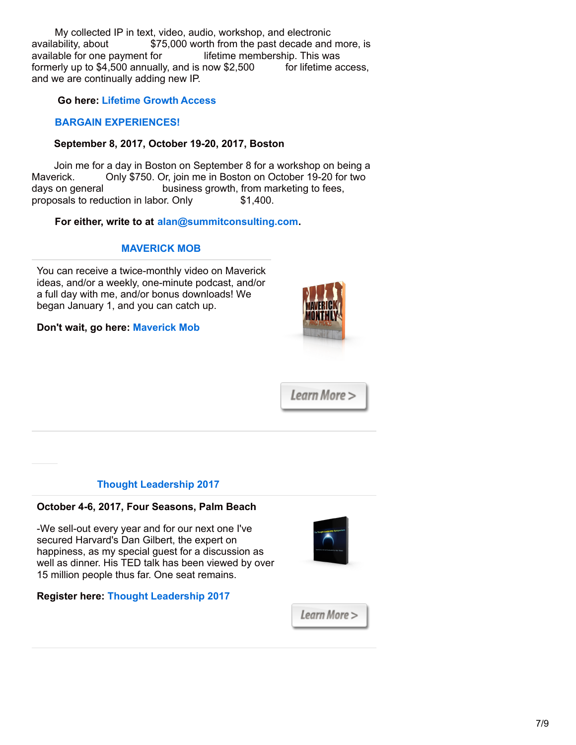My collected IP in text, video, audio, workshop, and electronic availability, about \$75,000 worth from the past decade and more, is available for one payment for lifetime membership. This was formerly up to \$4,500 annually, and is now \$2,500 for lifetime access, and we are continually adding new IP.

## **Go here: [Lifetime](https://www.alanweiss.com/store/online-learning/alans-million-dollar-consulting-growth-access/) Growth Access**

## **BARGAIN [EXPERIENCES!](mailto:alan@summitconsulting.com)**

## **September 8, 2017, October 19-20, 2017, Boston**

Join me for a day in Boston on September 8 for a workshop on being a Maverick. Only \$750. Or, join me in Boston on October 19-20 for two days on general business growth, from marketing to fees, proposals to reduction in labor. Only \$1,400.

# **For either, write to at [alan@summitconsulting.com](mailto:alan@summitconsulting.com).**

# **[MAVERICK](http://www.alanweiss.com/store/online-learning/maverick-monthly/) MOB**

You can receive a twice-monthly video on Maverick ideas, and/or a weekly, one-minute podcast, and/or a full day with me, and/or bonus downloads! We began January 1, and you can catch up.

## **Don't wait, go here: [Maverick](http://www.alanweiss.com/store/online-learning/maverick-monthly/) Mob**



Learn More >

## **Thought [Leadership](http://www.alanweiss.com/growth-experiences/2017-thought-leadership-eighth-annual-conference/) 2017**

## **October 4-6, 2017, Four Seasons, Palm Beach**

-We sell-out every year and for our next one I've secured Harvard's Dan Gilbert, the expert on happiness, as my special guest for a discussion as well as dinner. His TED talk has been viewed by over 15 million people thus far. One seat remains.



#### **Register here: Thought [Leadership](http://www.alanweiss.com/growth-experiences/2017-thought-leadership-eighth-annual-conference/) 2017**

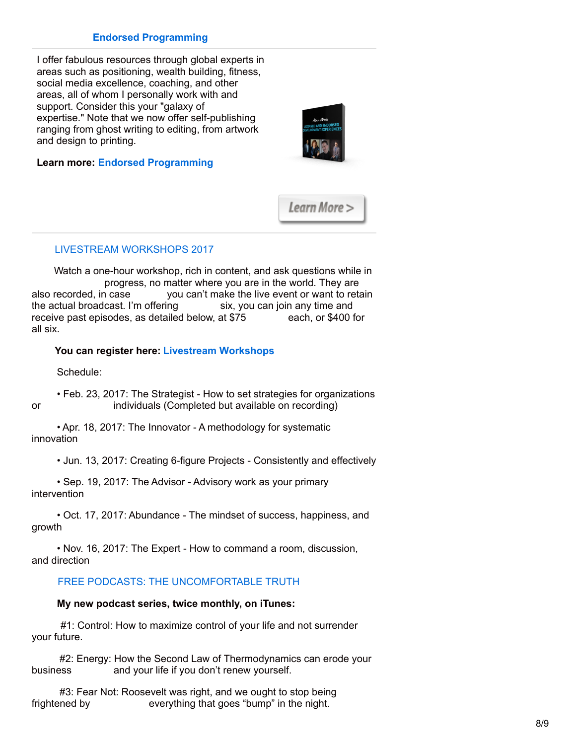## **Endorsed [Programming](http://www.alanweiss.com/growth-experiences/licensed-and-endorsed-development-experiences/)**

I offer fabulous resources through global experts in areas such as positioning, wealth building, fitness, social media excellence, coaching, and other areas, all of whom I personally work with and support. Consider this your "galaxy of expertise." Note that we now offer self-publishing ranging from ghost writing to editing, from artwork and design to printing.

#### **Learn more: Endorsed [Programming](http://www.alanweiss.com/growth-experiences/licensed-and-endorsed-development-experiences/)**

Learn More >

#### LIVESTREAM [WORKSHOPS](https://www.alanweiss.com/growth-experiences/livestream-workshops/) 2017

Watch a one-hour workshop, rich in content, and ask questions while in progress, no matter where you are in the world. They are also recorded, in case vou can't make the live event or want to reta you can't make the live event or want to retain the actual broadcast. I'm offering six, you can join any time and receive past episodes, as detailed below, at \$75 each, or \$400 for all six.

#### **You can register here: Livestream [Workshops](https://www.alanweiss.com/growth-experiences/livestream-workshops/)**

Schedule:

• Feb. 23, 2017: The Strategist - How to set strategies for organizations or individuals (Completed but available on recording)

• Apr. 18, 2017: The Innovator - A methodology for systematic innovation

• Jun. 13, 2017: Creating 6-figure Projects - Consistently and effectively

• Sep. 19, 2017: The Advisor - Advisory work as your primary intervention

• Oct. 17, 2017: Abundance - The mindset of success, happiness, and growth

• Nov. 16, 2017: The Expert - How to command a room, discussion, and direction

## FREE PODCASTS: THE [UNCOMFORTABLE](https://itunes.apple.com/podcast/alan-weiss-the-uncomfortable-truth/id1208575899?mt=2) TRUTH

#### **My new podcast series, twice monthly, on iTunes:**

#1: Control: How to maximize control of your life and not surrender your future.

#2: Energy: How the Second Law of Thermodynamics can erode your business and your life if you don't renew yourself.

#3: Fear Not: Roosevelt was right, and we ought to stop being frightened by everything that goes "bump" in the night.